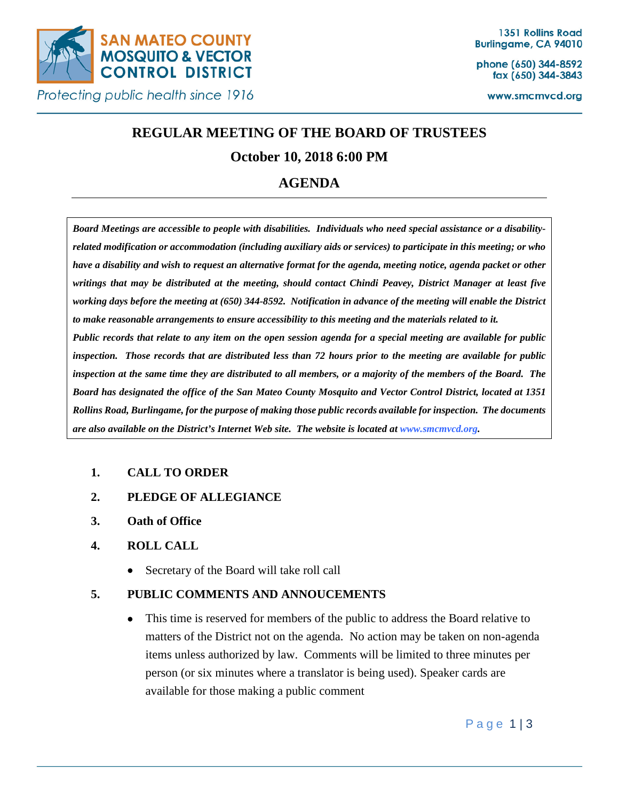

phone (650) 344-8592 fax (650) 344-3843

www.smcmvcd.org

# **REGULAR MEETING OF THE BOARD OF TRUSTEES**

## **October 10, 2018 6:00 PM**

## **AGENDA**

*Board Meetings are accessible to people with disabilities. Individuals who need special assistance or a disabilityrelated modification or accommodation (including auxiliary aids or services) to participate in this meeting; or who have a disability and wish to request an alternative format for the agenda, meeting notice, agenda packet or other writings that may be distributed at the meeting, should contact Chindi Peavey, District Manager at least five working days before the meeting at (650) 344-8592. Notification in advance of the meeting will enable the District to make reasonable arrangements to ensure accessibility to this meeting and the materials related to it. Public records that relate to any item on the open session agenda for a special meeting are available for public inspection. Those records that are distributed less than 72 hours prior to the meeting are available for public inspection at the same time they are distributed to all members, or a majority of the members of the Board. The Board has designated the office of the San Mateo County Mosquito and Vector Control District, located at 1351 Rollins Road, Burlingame, for the purpose of making those public records available for inspection. The documents are also available on the District's Internet Web site. The website is located at www.smcmvcd.org.* 

## **1. CALL TO ORDER**

- **2. PLEDGE OF ALLEGIANCE**
- **3. Oath of Office**

## **4. ROLL CALL**

• Secretary of the Board will take roll call

## **5. PUBLIC COMMENTS AND ANNOUCEMENTS**

• This time is reserved for members of the public to address the Board relative to matters of the District not on the agenda. No action may be taken on non-agenda items unless authorized by law. Comments will be limited to three minutes per person (or six minutes where a translator is being used). Speaker cards are available for those making a public comment

Page 1|3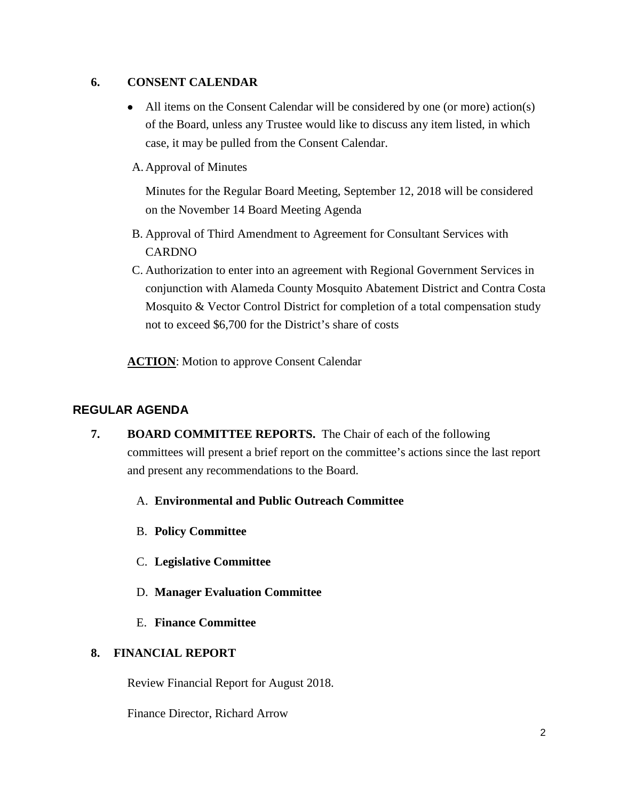### **6. CONSENT CALENDAR**

- All items on the Consent Calendar will be considered by one (or more) action(s) of the Board, unless any Trustee would like to discuss any item listed, in which case, it may be pulled from the Consent Calendar.
- A. Approval of Minutes

Minutes for the Regular Board Meeting, September 12, 2018 will be considered on the November 14 Board Meeting Agenda

- B. Approval of Third Amendment to Agreement for Consultant Services with CARDNO
- C. Authorization to enter into an agreement with Regional Government Services in conjunction with Alameda County Mosquito Abatement District and Contra Costa Mosquito & Vector Control District for completion of a total compensation study not to exceed \$6,700 for the District's share of costs

**ACTION**: Motion to approve Consent Calendar

## **REGULAR AGENDA**

- **7. BOARD COMMITTEE REPORTS.** The Chair of each of the following committees will present a brief report on the committee's actions since the last report and present any recommendations to the Board.
	- A. **Environmental and Public Outreach Committee**
	- B. **Policy Committee**
	- C. **Legislative Committee**
	- D. **Manager Evaluation Committee**
	- E. **Finance Committee**

#### **8. FINANCIAL REPORT**

Review Financial Report for August 2018.

Finance Director, Richard Arrow